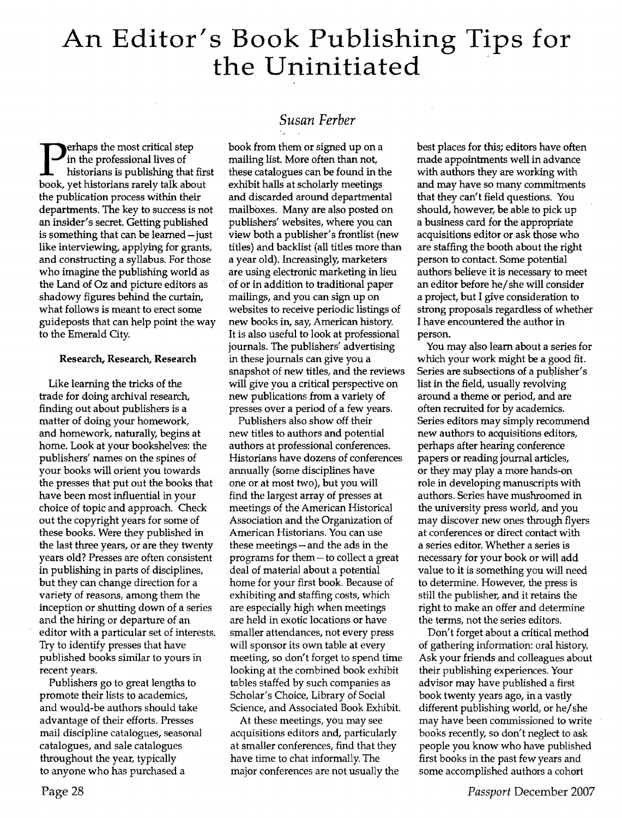# **An Editor's Book Publishing Tips for the Uninitiated** ·

erhaps the most critical step in the professional lives of historians is publishing that first book, yet historians rarely talk about the publication process within their departments. The key to success is not an insider's secret. Getting published is something that can be learned-just like interviewing, applying for grants, and constructing a syllabus. For those who imagine the publishing world as the Land of Oz and picture editors as shadowy figures behind the curtain, what follows is meant to erect some guideposts that can help point the way to the Emerald City.

## Research, Research, Research

Like learning the tricks of the trade for doing archival research, finding out about publishers is a matter of doing your homework, and homework, naturally, begins at home. Look at your bookshelves: the publishers' names on the spines of your books will orient you towards the presses that put out the books that have been most influential in your choice of topic and approach. Check out the copyright years for some of these books. Were they published in the last three years, or are they twenty years old? Presses are often consistent in publishing in parts of disciplines, but they can change direction for a variety of reasons, among them the inception or shutting down of a series and the hiring or departure of an editor with a particular set of interests. Try to identify presses that have published books similar to yours in recent years.

Publishers go to great lengths to promote their lists to academics, and would-be authors should take advantage of their efforts. Presses mail discipline catalogues, seasonal catalogues, and sale catalogues throughout the year, typically to anyone who has purchased a

# *Susan Ferber*

book from them or signed up on a mailing list. More often than not, these catalogues can be found in the exhibit halls at scholarly meetings and discarded around departmental mailboxes. Many are also posted on publishers' websites, where you can view both a publisher's frontlist (new titles) and backlist (all titles more than a year old). Increasingly, marketers are using electronic marketing in lieu of or in addition to traditional paper mailings, and you can sign up on websites to receive periodic listings of new books in, say, American history. It is also useful to look at professional journals. The publishers' advertising in these journals can give you a snapshot of new titles, and the reviews will give you a critical perspective on new publications from a variety of presses over a period of a few years.

Publishers also show off their new titles to authors and potential authors at professional conferences. Historians have dozens of conferences annually (some disciplines have one or at most two), but you will find the largest array of presses at meetings of the American Historical Association and the Organization of American Historians. You can use these meetings - and the ads in the programs for them-to collect a great deal of material about a potential home for your first book. Because of exhibiting and staffing costs, which are especially high when meetings are held in exotic locations or have smaller attendances, not every press will sponsor its own table at every meeting, so don't forget to spend time looking at the combined book exhibit tables staffed by such companies as Scholar's Choice, Library of Social Science, and Associated Book Exhibit.

At these meetings, you may see acquisitions editors and, particularly at smaller conferences, find that they have time to chat informally. The major conferences are not usually the best places for this; editors have often made appointments well in advance with authors they are working with and may have so many commitments that they can't field questions. You should, however, be able to pick up a business card for the appropriate acquisitions editor or ask those who are staffing the booth about the right person to contact. Some potential authors believe it is necessary to meet an editor before he/ she will consider a project, but I give consideration to strong proposals regardless of whether I have encountered the author in person.

You may also learn about a series for which your work might be a good fit. Series are subsections of a publisher's list in the field, usually revolving around a theme or period, and are often recruited for by academics. Series editors may simply recommend new authors to acquisitions editors, perhaps after hearing conference papers or reading journal articles, or they may play a more hands-on role in developing manuscripts with authors. Series have mushroomed in the university press world, and you may discover new ones through flyers at conferences or direct contact with a series editor. Whether a series is necessary for your book or will add value to it is something you will need to determine. However, the press is still the publisher, and it retains the right to make an offer and determine the terms, not the series editors.

Don't forget about a critical method of gathering information: oral history. Ask your friends and colleagues about their publishing experiences. Your advisor may have published a first book twenty years ago, in a vastly different publishing world, or he/she may have been commissioned to write books recently, so don't neglect to ask people you know who have published first books in the past few years and some accomplished authors a cohort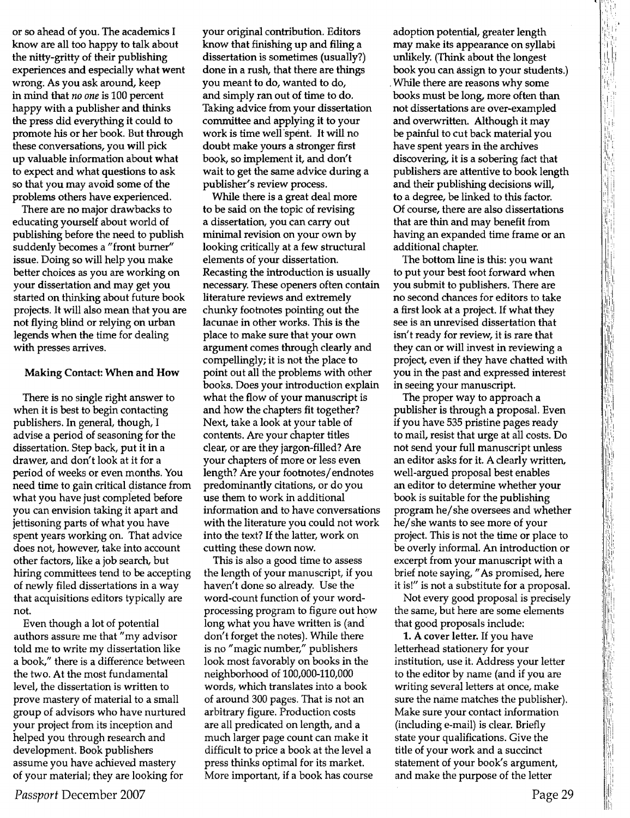or so ahead of you. The academics I know are all too happy to talk about the nitty-gritty of their publishing experiences and especially what went wrong; As you ask around, keep in mind that *no one* is 100 percent happy with a publisher and thinks the press did everything it could to promote his or her book. But through these conversations, you will pick up valuable information about what to expect and what questions to ask so that you may avoid some of the problems others have experienced.

There are no major drawbacks to educating yourself about world of publishing before the need to publish suddenly becomes a "front burner" issue. Doing so will help you make better choices as you are working on your dissertation and may get you started on thinking about future book projects. It will also mean that you are not flying blind or relying on urban legends when the time for dealing with presses arrives.

#### Making Contact: When and How

There is no single right answer to when it is best to begin contacting publishers. In general, though, I advise a period of seasoning for the dissertation. Step back, put it in a drawer, and don't look at it for a period of weeks or even months. You need time to gain critical distance from what you have just completed before you can envision taking it apart and jettisoning parts of what you have spent years working on. That advice does not, however, take into account other factors, like a job search, but hiring committees tend to be accepting of newly filed dissertations in a way that acquisitions editors typically are not.

Even though a lot of potential authors assure me that "my advisor told me to write my dissertation like a book," there is a difference between the two. At the most fundamental level, the dissertation is written to prove mastery of material to a small group of advisors who have nurtured your project from its inception and helped you through research and development. Book publishers assume you have achieved mastery of your material; they are looking for

your original contribution. Editors know that finishing up and filing a dissertation is sometimes (usually?) done in a rush, that there are things you meant to do, wanted to do, and simply ran out of time to do. Taking advice from your dissertation committee and applying it to your work is time well spent. It will no doubt make yours a stronger first book, so implement it, and don't wait to get the same advice during a publisher's review process.

While there is a great deal more to be said on the topic of revising a dissertation, you can carry out minimal revision on your own by looking critically at a few structural elements of your dissertation. Recasting the introduction is usually necessary. These openers often contain literature reviews and extremely chunky footnotes pointing out the lacunae in other works. This is the place to make sure that your own argument comes through clearly and compellingly; it is not the place to point out all the problems with other books. Does your introduction explain what the flow of your manuscript is and how the chapters fit together? Next, take a look at your table of contents. Are your chapter titles clear, or are they jargon-filled? Are your chapters of more or less even length? Are your footnotes/ endnotes predominantly citations, or do you use them to work in additional information and to have conversations with the literature you could not work into the text? If the latter, work on cutting these down now.

This is also a good time to assess the length of your manuscript, if you haven't done so already. Use the word-count function of your wordprocessing program to figure out how long what you have written is (and. don't forget the notes). While there is no "magic number," publishers look most favorably on books in the neighborhood of 100,000-110,000 words, which translates into a book of around 300 pages. That is not an arbitrary figure. Production costs are all predicated on length, and a much larger page count can make it difficult to price a book at the level a press thinks optimal for its market. More important, if a book has course

adoption potential, greater length may make its appearance on syllabi unlikely. (Think about the longest book you can assign to your students.) . While there are reasons why some books must be long, more often than not dissertations are over-exampled and overwritten. Although it may be painful to cut back material you have spent years in the archives discovering, it is a sobering fact that publishers are attentive to book length and their publishing decisions will, to a degree, be linked to this factor. Of course, there are also dissertations that are thin and may benefit from having an expanded time frame or an additional chapter.

The bottom line is this: you want to put your best foot forward when you submit to publishers. There are no second chances for editors to take a first look at a project. If what they see is an unrevised dissertation that isn't ready for review, it is rare that they can or will invest in reviewing a project, even if they have chatted with you in the past and expressed interest in seeing your manuscript.

The proper way to approach a publisher is through a proposal. Even if you have 535 pristine pages ready to mail, resist that urge at all costs. Do not send your full manuscript unless an editor asks for it. A clearly written, well-argued proposal best enables an editor to determine whether your book is suitable for the publishing program he/she oversees and whether he/she wants to see more of your project. This is not the time or place to be overly informal. An introduction or excerpt from your manuscript with a brief note saying, "As promised, here it is!" is not a substitute for a proposal.

Not every good proposal is precisely the same, but here are some elements that good proposals include:

1. A cover letter. If you have letterhead stationery for your institution, use it. Address your letter to the editor by name (and if you are writing several letters at once, make sure the name matches the publisher). Make sure your contact information (including e-mail) is clear. Briefly state your qualifications. Give the title of your work and a succinct statement of your book's argument, and make the purpose of the letter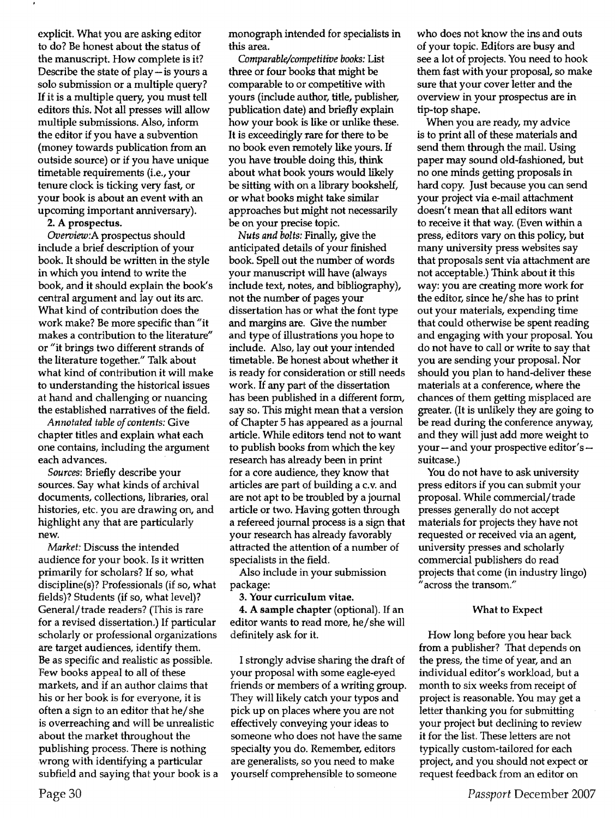explicit. What you are asking editor to do? Be honest about the status of the manuscript. How complete is it? Describe the state of  $play - is yours$  a solo submission or a multiple query? If it is a multiple query, you must tell editors this. Not all presses will allow multiple submissions. Also, inform the editor if you have a subvention (money towards publication from an outside source) or if you have unique timetable requirements (i.e., your tenure clock is ticking very fast, or your book is about an event with an upcoming important anniversary).

2. A prospectus.

*Overoiew:A*prospectus should include a brief description of your book. It should be written in the style in which you intend to write the book, and it should explain the book's central argument and lay out its arc. What kind of contribution does the work make? Be more specific than "it makes a contribution to the literature" or "it brings two different strands of the literature together." Talk about what kind of contribution it will make to understanding the historical issues at hand and challenging or nuancing the established narratives of the field.

*Annotated table of contents:* Give chapter titles and explain what each one contains, including the argument each advances.

*Sources:*Briefly describe your sources. Say what kinds of archival documents, collections, libraries, oral histories, etc. you are drawing on, and highlight any that are particularly new.

*Market:*Discuss the intended audience for your book. Is it written primarily for scholars? If so, what discipline(s)? Professionals (if so, what fields)? Students (if so, what level)? General/ trade readers? (This is rare for a revised dissertation.) If particular scholarly or professional organizations are target audiences, identify them. Be as specific and realistic as possible. Few books appeal to all of these markets, and if an author claims that his or her book is for everyone, it is often a sign to an editor that he/ she is overreaching and will be umealistic about the market throughout the publishing process. There is nothing wrong with identifying a particular subfield and saying that your book is a monograph intended for specialists in this area.

*Comparable/competitivebooks:*List three or four books that might be comparable to or competitive with yours (include author, title, publisher, publication date) and briefly explain how your book is like or unlike these. It is exceedirigly rare for there to be no book even remotely like yours. If you have trouble doing this, think about what book yours would likely be sitting with on a library bookshelf, or what books might take similar approaches but might not necessarily be on your precise topic.

*Nuts and bolts:* Finally, give the anticipated details of your finished book. Spell out the number of words your manuscript will have (always include text, notes, and bibliography), not the number of pages your dissertation has or what the font type and margins are. Give the number and type of illustrations you hope to include. Also, lay out your intended timetable. Be honest about whether it is ready for consideration or still needs work. If any part of the dissertation has been published in a different form, say so. This might mean that a version of Chapter 5 has appeared as a journal article. While editors tend not to want to publish books from which the key research has already been in print for a core audience, they know that articles are part of building a c.v. and are not apt to be troubled by a journal article or two. Having gotten through a refereed journal process is a sign that your research has already favorably attracted the attention of a number of specialists in the field.

Also include in your submission package:

3. Your curriculum vitae.

4. A sample chapter (optional). If an editor wants to read more, he/ she will definitely ask for it.

I strongly advise sharing the draft of your proposal with some eagle-eyed friends or members of a writing group. They will likely catch your typos and pick up on places where you are not effectively conveying your ideas to someone who does not have the same specialty you do. Remember, editors are generalists, so you need to make yourself comprehensible to someone

who does not know the ins and outs of your topic. Editors are busy and see a lot of projects. You need to hook them fast with your proposal, so make sure that your cover letter and the overview in your prospectus are in tip-top shape.

When you are ready, my advice is to print all of these materials and send them through the mail. Using paper may sound old-fashioned, but no one minds getting proposals in hard copy. Just because you can send your project via e-mail attachment doesn't mean that all editors want to receive it that way. (Even within a press, editors vary on this policy, but many university press websites say that proposals sent via attachment are not acceptable.) Think about it this way: you are creating more work for the editor, since he/ she has to print out your materials, expending time that could otherwise be spent reading and engaging with your proposal. You do not have to call or write to say that you are sending your proposal. Nor should you plan to hand-deliver these materials at a conference, where the chances of them getting misplaced are greater. (It is unlikely they are going to be read during the conference anyway, and they will just add more weight to your  $-$  and your prospective editor's  $$ suitcase.)

You do not have to ask university press editors if you can submit your proposal. While commercial/ trade presses generally do not accept materials for projects they have not requested or received via an agent, university presses and scholarly commercial publishers do read projects that come (in industry lingo) "across the transom."

## What to Expect

How long before you hear back from a publisher? That depends on the press, the time of year, and an individual editor's workload, but a month to six weeks from receipt of project is reasonable. You may get a letter thanking you for submitting your project but declining to review it for the list. These letters are not typically custom-tailored for each project, and you should not expect or request feedback from an editor on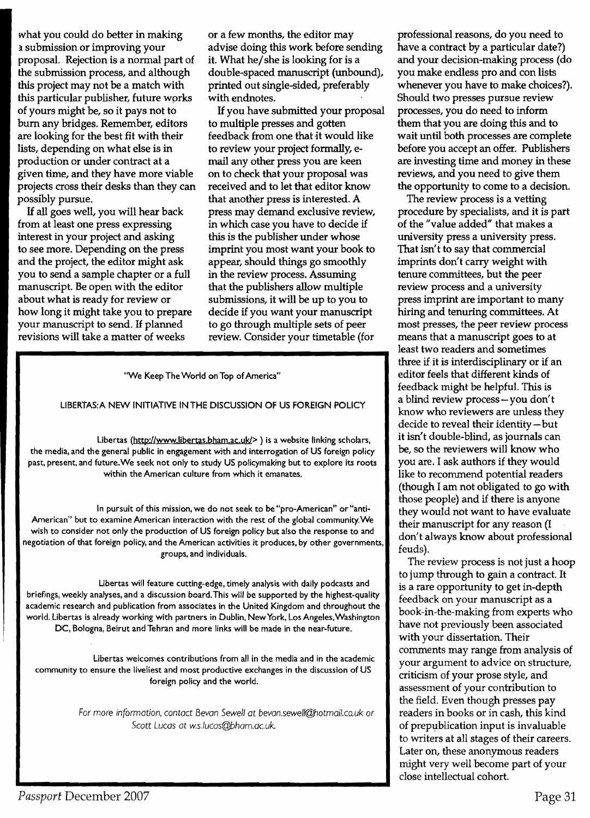what you could do better in making a submission or improving your proposal. Rejection is a normal part of the submission process, and although this project may not be a match with this particular publisher, future works of yours might be, so it pays not to bum any bridges. Remember, editors are looking for the best fit with their lists, depending on what else is in production or under contract at a given time, and they have more viable projects cross their desks than they can possibly pursue.

If all goes well, you will hear back from at least one press expressing interest in your project and asking to see more. Depending on the press and the project, the editor might ask you to send a sample chapter or a full manuscript. Be open with the editor about what is ready for review or how long it might take you to prepare your manuscript to send. If planned revisions will take a matter of weeks

or a few months, the editor may advise doing this work before sending it. What he/she is looking for is a double-spaced manuscript (unbound), printed out single-sided, preferably with endnotes.

If you have submitted your proposal to multiple presses and gotten feedback from one that it would like to review your project formally, email any other press you are keen on to check that your proposal was received and to let that editor know that another press is interested. A press may demand exclusive review, in which case you have to decide if this is the publisher under whose imprint you most want your book to appear, should things go smoothly in the review process. Assuming that the publishers allow multiple submissions, it will be up to you to decide if you want your manuscript to go through multiple sets of peer review. Consider your timetable (for

"We Keep The World on Top of America"

#### LIBERTAS: A NEW INITIATIVE IN THE DISCUSSION OF US FOREIGN POLICY

Libertas (http://www.libertas.bham.ac.uk/> ) is a website linking scholars, the media, and the general public in engagement with and interrogation of US foreign policy past, present, and future. We seek not only to study US policymaking but to explore its roots within the American culture from which it emanates.

In pursuit of this mission, we do not seek to be "pro-American" or "anti-American" but to examine American interaction with the rest of the global community. We wish to consider not only the production of US foreign policy but also the response to and negotiation of that foreign policy, and the American activities it produces, by other governments, groups, and individuals.

Libertas will feature cutting-edge, timely analysis with daily podcasts and briefings, weekly analyses, and a discussion board.This will be supported by the highest-quality academic research and publication from associates in the United Kingdom and throughout the world. Libertas is already working with partners in Dublin, New York, Los Angeles, Washington DC, Bologna, Beirut and Tehran and more links will be made in the near-future.

Libertas welcomes contributions from all in the media and in the academic community to ensure the liveliest and most productive exchanges in the discussion of US foreign policy and the world.

> *For*more *information.contact Bevan Sewell at bevan.sewe/l@hotmail.co.uk or Scott Lucas at w.s.lucas@bham.ac.uk.*

professional reasons, do you need to have a contract by a particular date?) and your decision-making process (do you make endless pro and con lists whenever you have to make choices?). Should two presses pursue review processes, you do need to inform them that you are doing this and to wait until both processes are complete before you accept an offer. Publishers are investing time and money in these reviews, and you need to give them the opportunity to come to a decision.

The review process is a vetting procedure by specialists, and it is part of the "value added" that makes a university press a university press. That isn't to say that commercial imprints don't carry weight with tenure committees, but the peer review process and a university press imprint are important to many hiring and tenuring committees. At most presses, the peer review process means that a manuscript goes to at least two readers and sometimes three if it is interdisciplinary or if an editor feels that different kinds of feedback might be helpful. This is a blind review process-you don't know who reviewers are unless they decide to reveal their identity- but it isn't double-blind, as journals can be, so the reviewers will know who you are. I ask authors if they would like to recommend potential readers (though I am not obligated to go with those people) and if there is anyone they would not want to have evaluate their manuscript for any reason (I don't always know about professional feuds).

The review process is not just a hoop to jump through to gain a contract. It is a rare opportunity to get in-depth feedback on your manuscript as a book-in-the-making from experts who have not previously been associated with your dissertation. Their comments may range from analysis of your argument to advice on structure, criticism of your prose style, and assessment of your contribution to the field. Even though presses pay readers in books or in cash, this kind of prepublication input is invaluable to writers at all stages of their careers. Later on, these anonymous readers might very well become part of your close intellectual cohort.